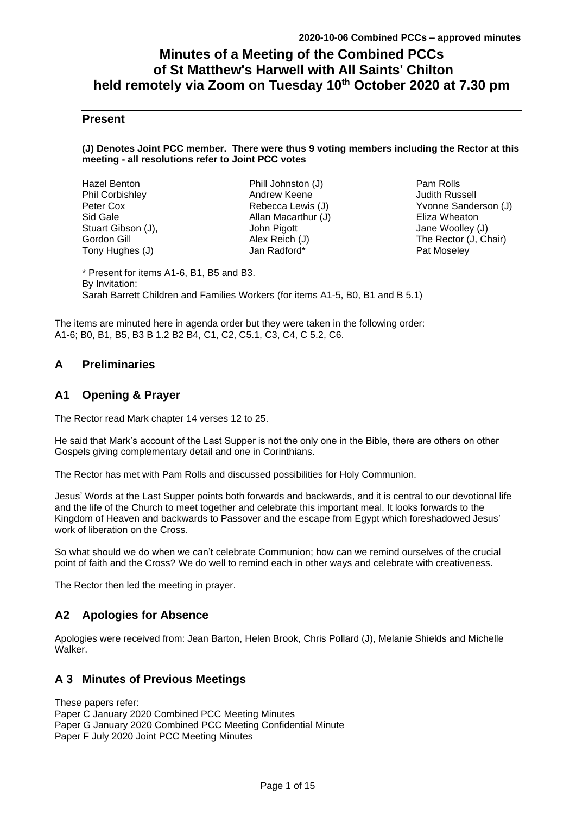# **Minutes of a Meeting of the Combined PCCs of St Matthew's Harwell with All Saints' Chilton held remotely via Zoom on Tuesday 10th October 2020 at 7.30 pm**

# **Present**

#### **(J) Denotes Joint PCC member. There were thus 9 voting members including the Rector at this meeting - all resolutions refer to Joint PCC votes**

| Hazel Benton       | Phill Johnston (J)  |  |
|--------------------|---------------------|--|
| Phil Corbishley    | Andrew Keene        |  |
| Peter Cox          | Rebecca Lewis (J)   |  |
| Sid Gale           | Allan Macarthur (J) |  |
| Stuart Gibson (J), | John Pigott         |  |
| Gordon Gill        | Alex Reich (J)      |  |
| Tony Hughes (J)    | Jan Radford*        |  |
|                    |                     |  |

Pam Rolls Judith Russell Yvonne Sanderson (J) Eliza Wheaton Jane Woolley (J) The Rector (J, Chair) Pat Moseley

\* Present for items A1-6, B1, B5 and B3. By Invitation: Sarah Barrett Children and Families Workers (for items A1-5, B0, B1 and B 5.1)

The items are minuted here in agenda order but they were taken in the following order: A1-6; B0, B1, B5, B3 B 1.2 B2 B4, C1, C2, C5.1, C3, C4, C 5.2, C6.

# **A Preliminaries**

# **A1 Opening & Prayer**

The Rector read Mark chapter 14 verses 12 to 25.

He said that Mark's account of the Last Supper is not the only one in the Bible, there are others on other Gospels giving complementary detail and one in Corinthians.

The Rector has met with Pam Rolls and discussed possibilities for Holy Communion.

Jesus' Words at the Last Supper points both forwards and backwards, and it is central to our devotional life and the life of the Church to meet together and celebrate this important meal. It looks forwards to the Kingdom of Heaven and backwards to Passover and the escape from Egypt which foreshadowed Jesus' work of liberation on the Cross.

So what should we do when we can't celebrate Communion; how can we remind ourselves of the crucial point of faith and the Cross? We do well to remind each in other ways and celebrate with creativeness.

The Rector then led the meeting in prayer.

# **A2 Apologies for Absence**

Apologies were received from: Jean Barton, Helen Brook, Chris Pollard (J), Melanie Shields and Michelle Walker.

# **A 3 Minutes of Previous Meetings**

These papers refer: Paper C January 2020 Combined PCC Meeting Minutes Paper G January 2020 Combined PCC Meeting Confidential Minute Paper F July 2020 Joint PCC Meeting Minutes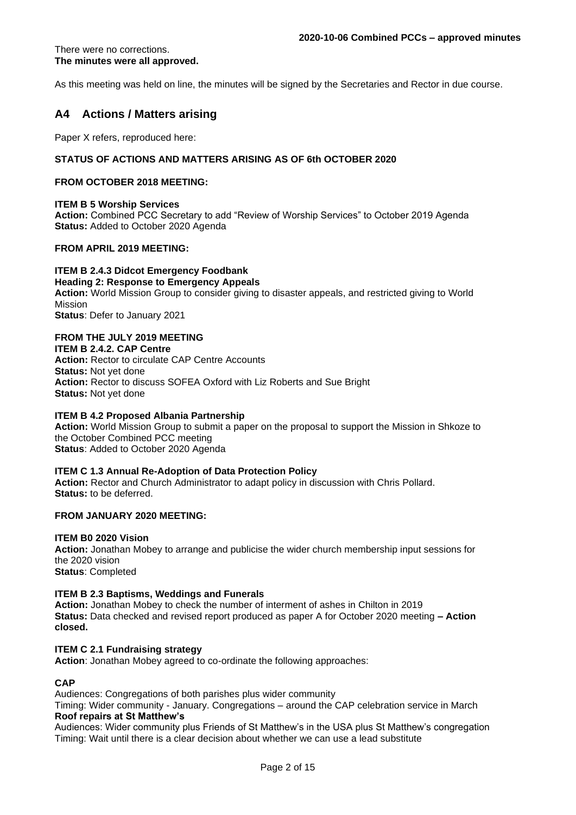#### There were no corrections. **The minutes were all approved.**

As this meeting was held on line, the minutes will be signed by the Secretaries and Rector in due course.

# **A4 Actions / Matters arising**

Paper X refers, reproduced here:

### **STATUS OF ACTIONS AND MATTERS ARISING AS OF 6th OCTOBER 2020**

#### **FROM OCTOBER 2018 MEETING:**

#### **ITEM B 5 Worship Services**

**Action:** Combined PCC Secretary to add "Review of Worship Services" to October 2019 Agenda **Status:** Added to October 2020 Agenda

#### **FROM APRIL 2019 MEETING:**

**ITEM B 2.4.3 Didcot Emergency Foodbank Heading 2: Response to Emergency Appeals Action:** World Mission Group to consider giving to disaster appeals, and restricted giving to World Mission **Status**: Defer to January 2021

# **FROM THE JULY 2019 MEETING**

**ITEM B 2.4.2. CAP Centre**

**Action:** Rector to circulate CAP Centre Accounts **Status:** Not yet done **Action:** Rector to discuss SOFEA Oxford with Liz Roberts and Sue Bright **Status:** Not yet done

#### **ITEM B 4.2 Proposed Albania Partnership**

**Action:** World Mission Group to submit a paper on the proposal to support the Mission in Shkoze to the October Combined PCC meeting **Status**: Added to October 2020 Agenda

#### **ITEM C 1.3 Annual Re-Adoption of Data Protection Policy**

**Action:** Rector and Church Administrator to adapt policy in discussion with Chris Pollard. **Status:** to be deferred.

### **FROM JANUARY 2020 MEETING:**

#### **ITEM B0 2020 Vision**

**Action:** Jonathan Mobey to arrange and publicise the wider church membership input sessions for the 2020 vision **Status**: Completed

#### **ITEM B 2.3 Baptisms, Weddings and Funerals**

**Action:** Jonathan Mobey to check the number of interment of ashes in Chilton in 2019 **Status:** Data checked and revised report produced as paper A for October 2020 meeting **– Action closed.**

#### **ITEM C 2.1 Fundraising strategy**

**Action**: Jonathan Mobey agreed to co-ordinate the following approaches:

### **CAP**

Audiences: Congregations of both parishes plus wider community

Timing: Wider community - January. Congregations – around the CAP celebration service in March **Roof repairs at St Matthew's**

Audiences: Wider community plus Friends of St Matthew's in the USA plus St Matthew's congregation Timing: Wait until there is a clear decision about whether we can use a lead substitute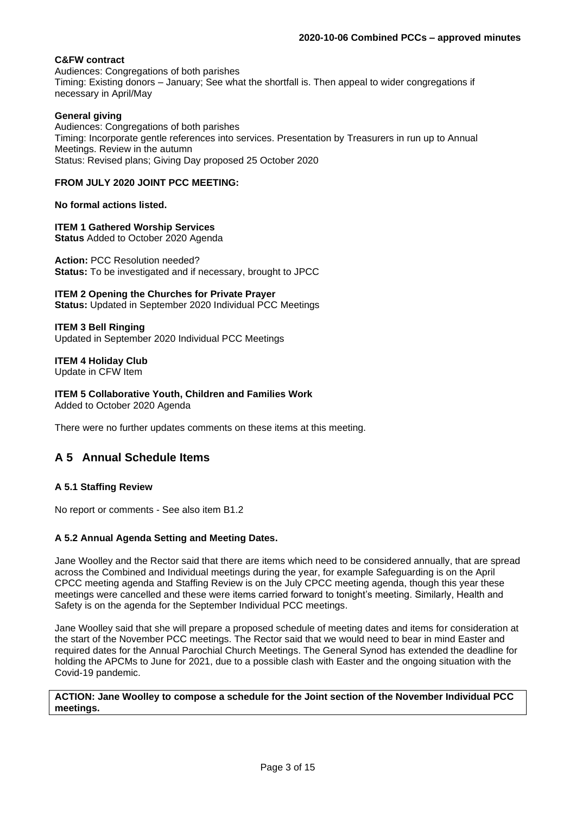# **C&FW contract**

Audiences: Congregations of both parishes Timing: Existing donors – January; See what the shortfall is. Then appeal to wider congregations if necessary in April/May

#### **General giving**

Audiences: Congregations of both parishes Timing: Incorporate gentle references into services. Presentation by Treasurers in run up to Annual Meetings. Review in the autumn Status: Revised plans; Giving Day proposed 25 October 2020

### **FROM JULY 2020 JOINT PCC MEETING:**

**No formal actions listed.**

**ITEM 1 Gathered Worship Services Status** Added to October 2020 Agenda

**Action:** PCC Resolution needed? **Status:** To be investigated and if necessary, brought to JPCC

**ITEM 2 Opening the Churches for Private Prayer**

**Status:** Updated in September 2020 Individual PCC Meetings

**ITEM 3 Bell Ringing** Updated in September 2020 Individual PCC Meetings

**ITEM 4 Holiday Club** Update in CFW Item

**ITEM 5 Collaborative Youth, Children and Families Work** Added to October 2020 Agenda

There were no further updates comments on these items at this meeting.

# **A 5 Annual Schedule Items**

# **A 5.1 Staffing Review**

No report or comments - See also item B1.2

# **A 5.2 Annual Agenda Setting and Meeting Dates.**

Jane Woolley and the Rector said that there are items which need to be considered annually, that are spread across the Combined and Individual meetings during the year, for example Safeguarding is on the April CPCC meeting agenda and Staffing Review is on the July CPCC meeting agenda, though this year these meetings were cancelled and these were items carried forward to tonight's meeting. Similarly, Health and Safety is on the agenda for the September Individual PCC meetings.

Jane Woolley said that she will prepare a proposed schedule of meeting dates and items for consideration at the start of the November PCC meetings. The Rector said that we would need to bear in mind Easter and required dates for the Annual Parochial Church Meetings. The General Synod has extended the deadline for holding the APCMs to June for 2021, due to a possible clash with Easter and the ongoing situation with the Covid-19 pandemic.

**ACTION: Jane Woolley to compose a schedule for the Joint section of the November Individual PCC meetings.**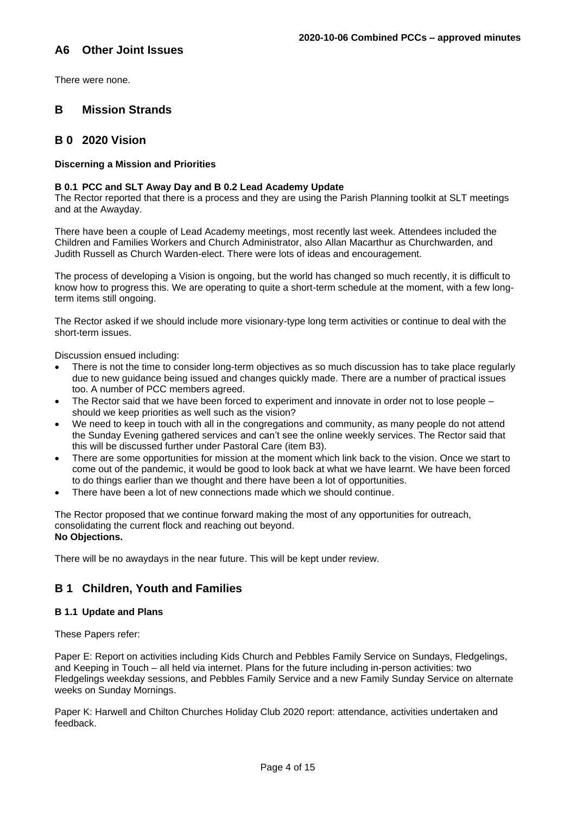# **A6 Other Joint Issues**

There were none.

# **B Mission Strands**

# **B 0 2020 Vision**

# **Discerning a Mission and Priorities**

#### **B 0.1 PCC and SLT Away Day and B 0.2 Lead Academy Update**

The Rector reported that there is a process and they are using the Parish Planning toolkit at SLT meetings and at the Awayday.

There have been a couple of Lead Academy meetings, most recently last week. Attendees included the Children and Families Workers and Church Administrator, also Allan Macarthur as Churchwarden, and Judith Russell as Church Warden-elect. There were lots of ideas and encouragement.

The process of developing a Vision is ongoing, but the world has changed so much recently, it is difficult to know how to progress this. We are operating to quite a short-term schedule at the moment, with a few longterm items still ongoing.

The Rector asked if we should include more visionary-type long term activities or continue to deal with the short-term issues.

Discussion ensued including:

- There is not the time to consider long-term objectives as so much discussion has to take place regularly due to new guidance being issued and changes quickly made. There are a number of practical issues too. A number of PCC members agreed.
- The Rector said that we have been forced to experiment and innovate in order not to lose people should we keep priorities as well such as the vision?
- We need to keep in touch with all in the congregations and community, as many people do not attend the Sunday Evening gathered services and can't see the online weekly services. The Rector said that this will be discussed further under Pastoral Care (item B3).
- There are some opportunities for mission at the moment which link back to the vision. Once we start to come out of the pandemic, it would be good to look back at what we have learnt. We have been forced to do things earlier than we thought and there have been a lot of opportunities.
- There have been a lot of new connections made which we should continue.

The Rector proposed that we continue forward making the most of any opportunities for outreach, consolidating the current flock and reaching out beyond. **No Objections.**

There will be no awaydays in the near future. This will be kept under review.

# **B 1 Children, Youth and Families**

# **B 1.1 Update and Plans**

These Papers refer:

Paper E: Report on activities including Kids Church and Pebbles Family Service on Sundays, Fledgelings, and Keeping in Touch – all held via internet. Plans for the future including in-person activities: two Fledgelings weekday sessions, and Pebbles Family Service and a new Family Sunday Service on alternate weeks on Sunday Mornings.

Paper K: Harwell and Chilton Churches Holiday Club 2020 report: attendance, activities undertaken and feedback.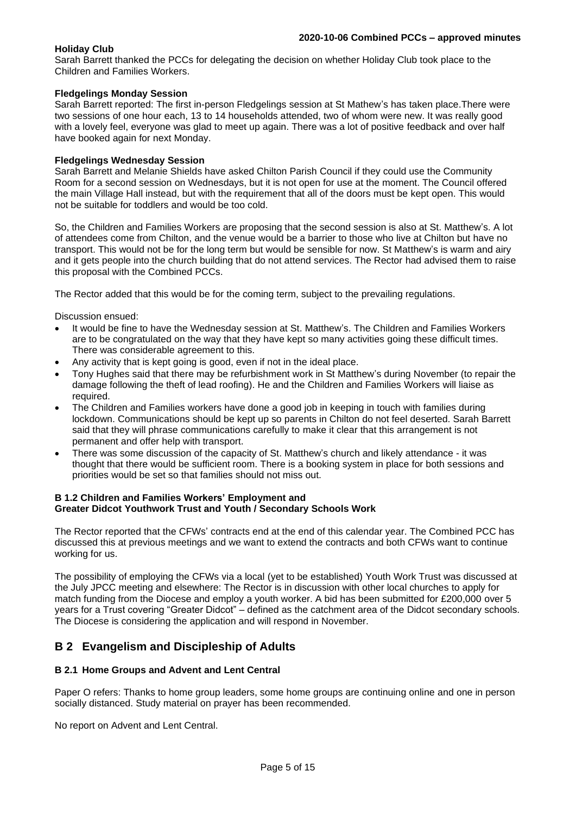### **Holiday Club**

Sarah Barrett thanked the PCCs for delegating the decision on whether Holiday Club took place to the Children and Families Workers.

### **Fledgelings Monday Session**

Sarah Barrett reported: The first in-person Fledgelings session at St Mathew's has taken place.There were two sessions of one hour each, 13 to 14 households attended, two of whom were new. It was really good with a lovely feel, everyone was glad to meet up again. There was a lot of positive feedback and over half have booked again for next Monday.

### **Fledgelings Wednesday Session**

Sarah Barrett and Melanie Shields have asked Chilton Parish Council if they could use the Community Room for a second session on Wednesdays, but it is not open for use at the moment. The Council offered the main Village Hall instead, but with the requirement that all of the doors must be kept open. This would not be suitable for toddlers and would be too cold.

So, the Children and Families Workers are proposing that the second session is also at St. Matthew's. A lot of attendees come from Chilton, and the venue would be a barrier to those who live at Chilton but have no transport. This would not be for the long term but would be sensible for now. St Matthew's is warm and airy and it gets people into the church building that do not attend services. The Rector had advised them to raise this proposal with the Combined PCCs.

The Rector added that this would be for the coming term, subject to the prevailing regulations.

Discussion ensued:

- It would be fine to have the Wednesday session at St. Matthew's. The Children and Families Workers are to be congratulated on the way that they have kept so many activities going these difficult times. There was considerable agreement to this.
- Any activity that is kept going is good, even if not in the ideal place.
- Tony Hughes said that there may be refurbishment work in St Matthew's during November (to repair the damage following the theft of lead roofing). He and the Children and Families Workers will liaise as required.
- The Children and Families workers have done a good job in keeping in touch with families during lockdown. Communications should be kept up so parents in Chilton do not feel deserted. Sarah Barrett said that they will phrase communications carefully to make it clear that this arrangement is not permanent and offer help with transport.
- There was some discussion of the capacity of St. Matthew's church and likely attendance it was thought that there would be sufficient room. There is a booking system in place for both sessions and priorities would be set so that families should not miss out.

### **B 1.2 Children and Families Workers' Employment and Greater Didcot Youthwork Trust and Youth / Secondary Schools Work**

The Rector reported that the CFWs' contracts end at the end of this calendar year. The Combined PCC has discussed this at previous meetings and we want to extend the contracts and both CFWs want to continue working for us.

The possibility of employing the CFWs via a local (yet to be established) Youth Work Trust was discussed at the July JPCC meeting and elsewhere: The Rector is in discussion with other local churches to apply for match funding from the Diocese and employ a youth worker. A bid has been submitted for £200,000 over 5 years for a Trust covering "Greater Didcot" – defined as the catchment area of the Didcot secondary schools. The Diocese is considering the application and will respond in November.

# **B 2 Evangelism and Discipleship of Adults**

# **B 2.1 Home Groups and Advent and Lent Central**

Paper O refers: Thanks to home group leaders, some home groups are continuing online and one in person socially distanced. Study material on prayer has been recommended.

No report on Advent and Lent Central.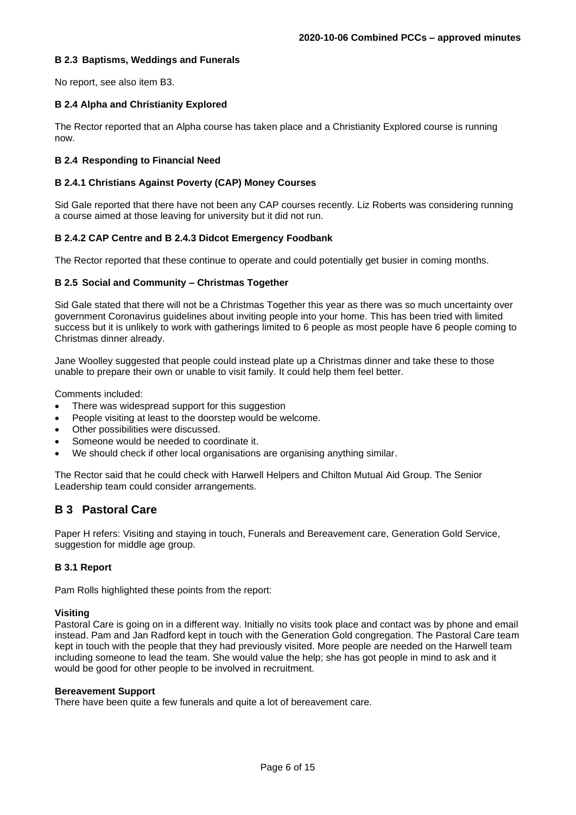# **B 2.3 Baptisms, Weddings and Funerals**

No report, see also item B3.

# **B 2.4 Alpha and Christianity Explored**

The Rector reported that an Alpha course has taken place and a Christianity Explored course is running now.

# **B 2.4 Responding to Financial Need**

# **B 2.4.1 Christians Against Poverty (CAP) Money Courses**

Sid Gale reported that there have not been any CAP courses recently. Liz Roberts was considering running a course aimed at those leaving for university but it did not run.

# **B 2.4.2 CAP Centre and B 2.4.3 Didcot Emergency Foodbank**

The Rector reported that these continue to operate and could potentially get busier in coming months.

### **B 2.5 Social and Community – Christmas Together**

Sid Gale stated that there will not be a Christmas Together this year as there was so much uncertainty over government Coronavirus guidelines about inviting people into your home. This has been tried with limited success but it is unlikely to work with gatherings limited to 6 people as most people have 6 people coming to Christmas dinner already.

Jane Woolley suggested that people could instead plate up a Christmas dinner and take these to those unable to prepare their own or unable to visit family. It could help them feel better.

Comments included:

- There was widespread support for this suggestion
- People visiting at least to the doorstep would be welcome.
- Other possibilities were discussed.
- Someone would be needed to coordinate it.
- We should check if other local organisations are organising anything similar.

The Rector said that he could check with Harwell Helpers and Chilton Mutual Aid Group. The Senior Leadership team could consider arrangements.

# **B 3 Pastoral Care**

Paper H refers: Visiting and staying in touch, Funerals and Bereavement care, Generation Gold Service, suggestion for middle age group.

# **B 3.1 Report**

Pam Rolls highlighted these points from the report:

#### **Visiting**

Pastoral Care is going on in a different way. Initially no visits took place and contact was by phone and email instead. Pam and Jan Radford kept in touch with the Generation Gold congregation. The Pastoral Care team kept in touch with the people that they had previously visited. More people are needed on the Harwell team including someone to lead the team. She would value the help; she has got people in mind to ask and it would be good for other people to be involved in recruitment.

#### **Bereavement Support**

There have been quite a few funerals and quite a lot of bereavement care.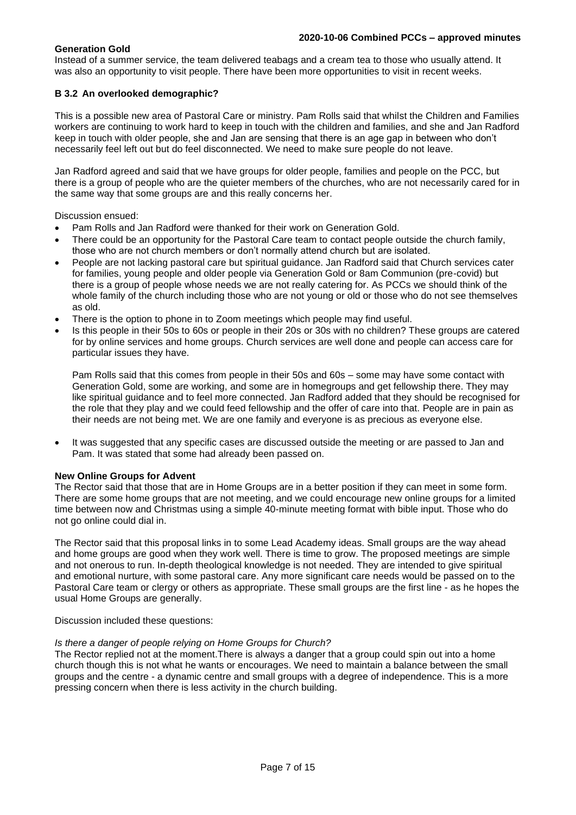# **Generation Gold**

Instead of a summer service, the team delivered teabags and a cream tea to those who usually attend. It was also an opportunity to visit people. There have been more opportunities to visit in recent weeks.

# **B 3.2 An overlooked demographic?**

This is a possible new area of Pastoral Care or ministry. Pam Rolls said that whilst the Children and Families workers are continuing to work hard to keep in touch with the children and families, and she and Jan Radford keep in touch with older people, she and Jan are sensing that there is an age gap in between who don't necessarily feel left out but do feel disconnected. We need to make sure people do not leave.

Jan Radford agreed and said that we have groups for older people, families and people on the PCC, but there is a group of people who are the quieter members of the churches, who are not necessarily cared for in the same way that some groups are and this really concerns her.

Discussion ensued:

- Pam Rolls and Jan Radford were thanked for their work on Generation Gold.
- There could be an opportunity for the Pastoral Care team to contact people outside the church family, those who are not church members or don't normally attend church but are isolated.
- People are not lacking pastoral care but spiritual guidance. Jan Radford said that Church services cater for families, young people and older people via Generation Gold or 8am Communion (pre-covid) but there is a group of people whose needs we are not really catering for. As PCCs we should think of the whole family of the church including those who are not young or old or those who do not see themselves as old.
- There is the option to phone in to Zoom meetings which people may find useful.
- Is this people in their 50s to 60s or people in their 20s or 30s with no children? These groups are catered for by online services and home groups. Church services are well done and people can access care for particular issues they have.

Pam Rolls said that this comes from people in their 50s and 60s – some may have some contact with Generation Gold, some are working, and some are in homegroups and get fellowship there. They may like spiritual guidance and to feel more connected. Jan Radford added that they should be recognised for the role that they play and we could feed fellowship and the offer of care into that. People are in pain as their needs are not being met. We are one family and everyone is as precious as everyone else.

It was suggested that any specific cases are discussed outside the meeting or are passed to Jan and Pam. It was stated that some had already been passed on.

#### **New Online Groups for Advent**

The Rector said that those that are in Home Groups are in a better position if they can meet in some form. There are some home groups that are not meeting, and we could encourage new online groups for a limited time between now and Christmas using a simple 40-minute meeting format with bible input. Those who do not go online could dial in.

The Rector said that this proposal links in to some Lead Academy ideas. Small groups are the way ahead and home groups are good when they work well. There is time to grow. The proposed meetings are simple and not onerous to run. In-depth theological knowledge is not needed. They are intended to give spiritual and emotional nurture, with some pastoral care. Any more significant care needs would be passed on to the Pastoral Care team or clergy or others as appropriate. These small groups are the first line - as he hopes the usual Home Groups are generally.

Discussion included these questions:

#### *Is there a danger of people relying on Home Groups for Church?*

The Rector replied not at the moment.There is always a danger that a group could spin out into a home church though this is not what he wants or encourages. We need to maintain a balance between the small groups and the centre - a dynamic centre and small groups with a degree of independence. This is a more pressing concern when there is less activity in the church building.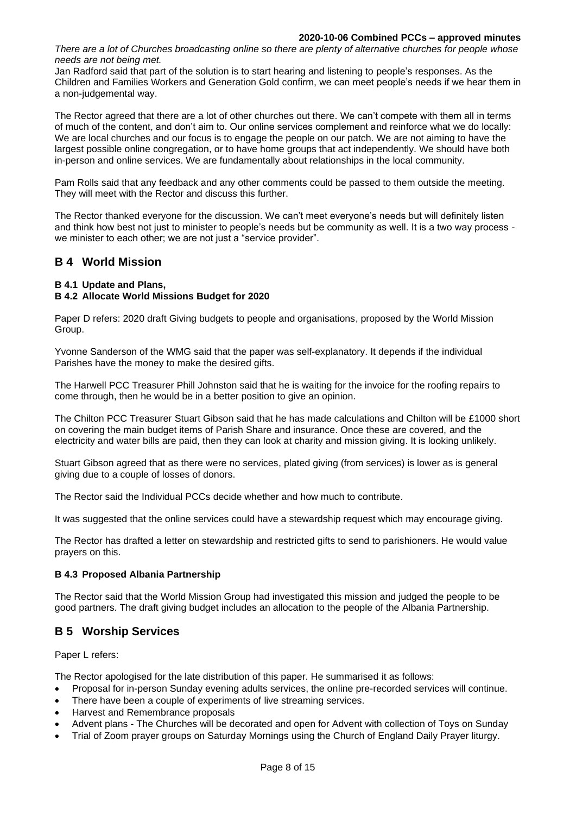#### **2020-10-06 Combined PCCs – approved minutes**

*There are a lot of Churches broadcasting online so there are plenty of alternative churches for people whose needs are not being met.*

Jan Radford said that part of the solution is to start hearing and listening to people's responses. As the Children and Families Workers and Generation Gold confirm, we can meet people's needs if we hear them in a non-judgemental way.

The Rector agreed that there are a lot of other churches out there. We can't compete with them all in terms of much of the content, and don't aim to. Our online services complement and reinforce what we do locally: We are local churches and our focus is to engage the people on our patch. We are not aiming to have the largest possible online congregation, or to have home groups that act independently. We should have both in-person and online services. We are fundamentally about relationships in the local community.

Pam Rolls said that any feedback and any other comments could be passed to them outside the meeting. They will meet with the Rector and discuss this further.

The Rector thanked everyone for the discussion. We can't meet everyone's needs but will definitely listen and think how best not just to minister to people's needs but be community as well. It is a two way process we minister to each other; we are not just a "service provider".

# **B 4 World Mission**

# **B 4.1 Update and Plans,**

# **B 4.2 Allocate World Missions Budget for 2020**

Paper D refers: 2020 draft Giving budgets to people and organisations, proposed by the World Mission Group.

Yvonne Sanderson of the WMG said that the paper was self-explanatory. It depends if the individual Parishes have the money to make the desired gifts.

The Harwell PCC Treasurer Phill Johnston said that he is waiting for the invoice for the roofing repairs to come through, then he would be in a better position to give an opinion.

The Chilton PCC Treasurer Stuart Gibson said that he has made calculations and Chilton will be £1000 short on covering the main budget items of Parish Share and insurance. Once these are covered, and the electricity and water bills are paid, then they can look at charity and mission giving. It is looking unlikely.

Stuart Gibson agreed that as there were no services, plated giving (from services) is lower as is general giving due to a couple of losses of donors.

The Rector said the Individual PCCs decide whether and how much to contribute.

It was suggested that the online services could have a stewardship request which may encourage giving.

The Rector has drafted a letter on stewardship and restricted gifts to send to parishioners. He would value prayers on this.

# **B 4.3 Proposed Albania Partnership**

The Rector said that the World Mission Group had investigated this mission and judged the people to be good partners. The draft giving budget includes an allocation to the people of the Albania Partnership.

# **B 5 Worship Services**

Paper L refers:

The Rector apologised for the late distribution of this paper. He summarised it as follows:

- Proposal for in-person Sunday evening adults services, the online pre-recorded services will continue.
- There have been a couple of experiments of live streaming services.
- Harvest and Remembrance proposals
- Advent plans The Churches will be decorated and open for Advent with collection of Toys on Sunday
- Trial of Zoom prayer groups on Saturday Mornings using the Church of England Daily Prayer liturgy.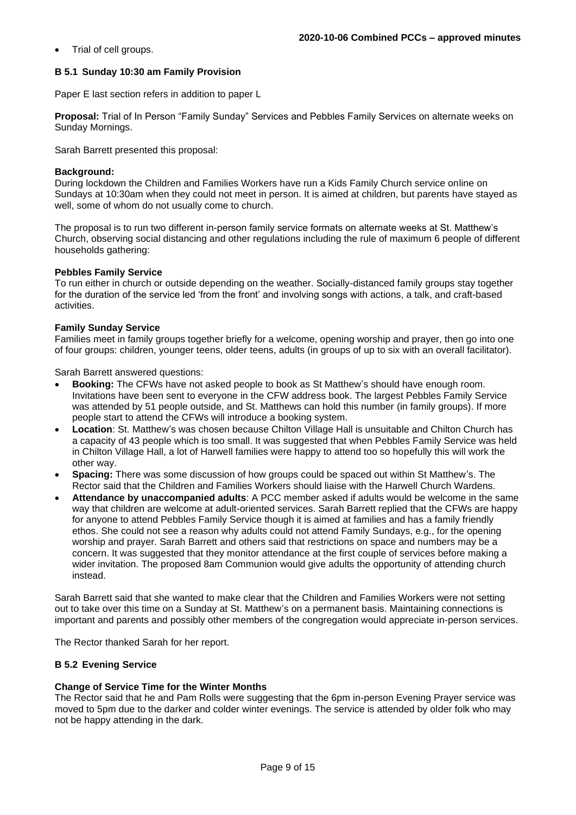• Trial of cell groups.

### **B 5.1 Sunday 10:30 am Family Provision**

Paper E last section refers in addition to paper L

**Proposal:** Trial of In Person "Family Sunday" Services and Pebbles Family Services on alternate weeks on Sunday Mornings.

Sarah Barrett presented this proposal:

#### **Background:**

During lockdown the Children and Families Workers have run a Kids Family Church service online on Sundays at 10:30am when they could not meet in person. It is aimed at children, but parents have stayed as well, some of whom do not usually come to church.

The proposal is to run two different in-person family service formats on alternate weeks at St. Matthew's Church, observing social distancing and other regulations including the rule of maximum 6 people of different households gathering:

#### **Pebbles Family Service**

To run either in church or outside depending on the weather. Socially-distanced family groups stay together for the duration of the service led 'from the front' and involving songs with actions, a talk, and craft-based activities.

#### **Family Sunday Service**

Families meet in family groups together briefly for a welcome, opening worship and prayer, then go into one of four groups: children, younger teens, older teens, adults (in groups of up to six with an overall facilitator).

Sarah Barrett answered questions:

- **Booking:** The CFWs have not asked people to book as St Matthew's should have enough room. Invitations have been sent to everyone in the CFW address book. The largest Pebbles Family Service was attended by 51 people outside, and St. Matthews can hold this number (in family groups). If more people start to attend the CFWs will introduce a booking system.
- **Location**: St. Matthew's was chosen because Chilton Village Hall is unsuitable and Chilton Church has a capacity of 43 people which is too small. It was suggested that when Pebbles Family Service was held in Chilton Village Hall, a lot of Harwell families were happy to attend too so hopefully this will work the other way.
- **Spacing:** There was some discussion of how groups could be spaced out within St Matthew's. The Rector said that the Children and Families Workers should liaise with the Harwell Church Wardens.
- **Attendance by unaccompanied adults**: A PCC member asked if adults would be welcome in the same way that children are welcome at adult-oriented services. Sarah Barrett replied that the CFWs are happy for anyone to attend Pebbles Family Service though it is aimed at families and has a family friendly ethos. She could not see a reason why adults could not attend Family Sundays, e.g., for the opening worship and prayer. Sarah Barrett and others said that restrictions on space and numbers may be a concern. It was suggested that they monitor attendance at the first couple of services before making a wider invitation. The proposed 8am Communion would give adults the opportunity of attending church instead.

Sarah Barrett said that she wanted to make clear that the Children and Families Workers were not setting out to take over this time on a Sunday at St. Matthew's on a permanent basis. Maintaining connections is important and parents and possibly other members of the congregation would appreciate in-person services.

The Rector thanked Sarah for her report.

# **B 5.2 Evening Service**

#### **Change of Service Time for the Winter Months**

The Rector said that he and Pam Rolls were suggesting that the 6pm in-person Evening Prayer service was moved to 5pm due to the darker and colder winter evenings. The service is attended by older folk who may not be happy attending in the dark.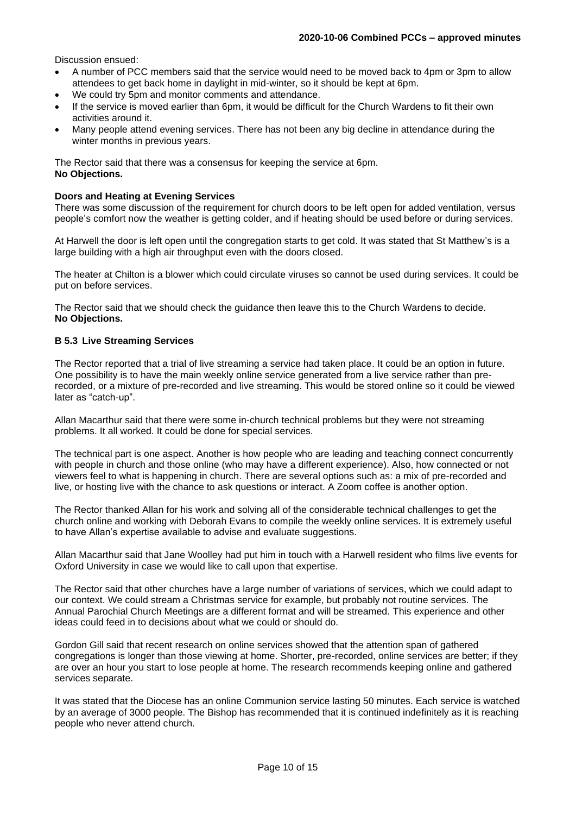Discussion ensued:

- A number of PCC members said that the service would need to be moved back to 4pm or 3pm to allow attendees to get back home in daylight in mid-winter, so it should be kept at 6pm.
- We could try 5pm and monitor comments and attendance.
- If the service is moved earlier than 6pm, it would be difficult for the Church Wardens to fit their own activities around it.
- Many people attend evening services. There has not been any big decline in attendance during the winter months in previous years.

The Rector said that there was a consensus for keeping the service at 6pm. **No Objections.**

#### **Doors and Heating at Evening Services**

There was some discussion of the requirement for church doors to be left open for added ventilation, versus people's comfort now the weather is getting colder, and if heating should be used before or during services.

At Harwell the door is left open until the congregation starts to get cold. It was stated that St Matthew's is a large building with a high air throughput even with the doors closed.

The heater at Chilton is a blower which could circulate viruses so cannot be used during services. It could be put on before services.

The Rector said that we should check the guidance then leave this to the Church Wardens to decide. **No Objections.**

### **B 5.3 Live Streaming Services**

The Rector reported that a trial of live streaming a service had taken place. It could be an option in future. One possibility is to have the main weekly online service generated from a live service rather than prerecorded, or a mixture of pre-recorded and live streaming. This would be stored online so it could be viewed later as "catch-up".

Allan Macarthur said that there were some in-church technical problems but they were not streaming problems. It all worked. It could be done for special services.

The technical part is one aspect. Another is how people who are leading and teaching connect concurrently with people in church and those online (who may have a different experience). Also, how connected or not viewers feel to what is happening in church. There are several options such as: a mix of pre-recorded and live, or hosting live with the chance to ask questions or interact. A Zoom coffee is another option.

The Rector thanked Allan for his work and solving all of the considerable technical challenges to get the church online and working with Deborah Evans to compile the weekly online services. It is extremely useful to have Allan's expertise available to advise and evaluate suggestions.

Allan Macarthur said that Jane Woolley had put him in touch with a Harwell resident who films live events for Oxford University in case we would like to call upon that expertise.

The Rector said that other churches have a large number of variations of services, which we could adapt to our context. We could stream a Christmas service for example, but probably not routine services. The Annual Parochial Church Meetings are a different format and will be streamed. This experience and other ideas could feed in to decisions about what we could or should do.

Gordon Gill said that recent research on online services showed that the attention span of gathered congregations is longer than those viewing at home. Shorter, pre-recorded, online services are better; if they are over an hour you start to lose people at home. The research recommends keeping online and gathered services separate.

It was stated that the Diocese has an online Communion service lasting 50 minutes. Each service is watched by an average of 3000 people. The Bishop has recommended that it is continued indefinitely as it is reaching people who never attend church.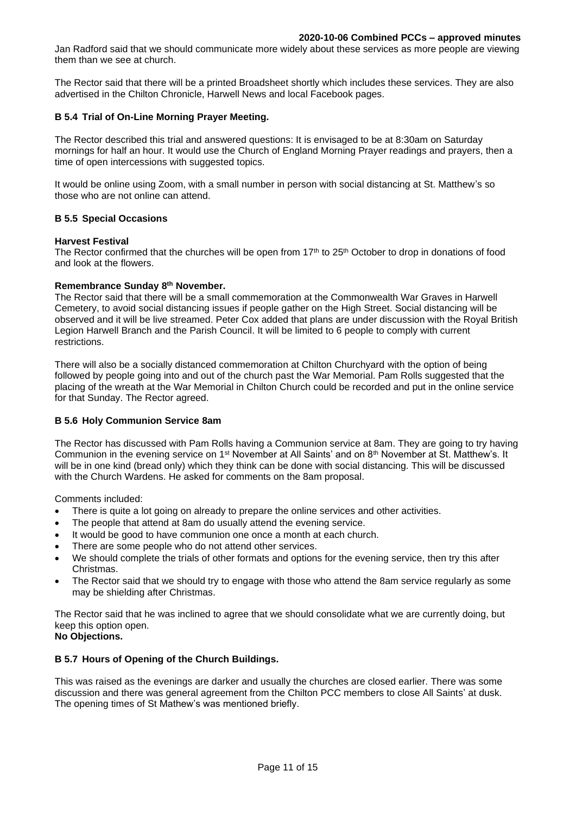Jan Radford said that we should communicate more widely about these services as more people are viewing them than we see at church.

The Rector said that there will be a printed Broadsheet shortly which includes these services. They are also advertised in the Chilton Chronicle, Harwell News and local Facebook pages.

#### **B 5.4 Trial of On-Line Morning Prayer Meeting.**

The Rector described this trial and answered questions: It is envisaged to be at 8:30am on Saturday mornings for half an hour. It would use the Church of England Morning Prayer readings and prayers, then a time of open intercessions with suggested topics.

It would be online using Zoom, with a small number in person with social distancing at St. Matthew's so those who are not online can attend.

#### **B 5.5 Special Occasions**

#### **Harvest Festival**

The Rector confirmed that the churches will be open from  $17<sup>th</sup>$  to  $25<sup>th</sup>$  October to drop in donations of food and look at the flowers.

### **Remembrance Sunday 8 th November.**

The Rector said that there will be a small commemoration at the Commonwealth War Graves in Harwell Cemetery, to avoid social distancing issues if people gather on the High Street. Social distancing will be observed and it will be live streamed. Peter Cox added that plans are under discussion with the Royal British Legion Harwell Branch and the Parish Council. It will be limited to 6 people to comply with current restrictions.

There will also be a socially distanced commemoration at Chilton Churchyard with the option of being followed by people going into and out of the church past the War Memorial. Pam Rolls suggested that the placing of the wreath at the War Memorial in Chilton Church could be recorded and put in the online service for that Sunday. The Rector agreed.

#### **B 5.6 Holy Communion Service 8am**

The Rector has discussed with Pam Rolls having a Communion service at 8am. They are going to try having Communion in the evening service on 1<sup>st</sup> November at All Saints' and on 8<sup>th</sup> November at St. Matthew's. It will be in one kind (bread only) which they think can be done with social distancing. This will be discussed with the Church Wardens. He asked for comments on the 8am proposal.

Comments included:

- There is quite a lot going on already to prepare the online services and other activities.
- The people that attend at 8am do usually attend the evening service.
- It would be good to have communion one once a month at each church.
- There are some people who do not attend other services.
- We should complete the trials of other formats and options for the evening service, then try this after Christmas.
- The Rector said that we should try to engage with those who attend the 8am service regularly as some may be shielding after Christmas.

The Rector said that he was inclined to agree that we should consolidate what we are currently doing, but keep this option open.

# **No Objections.**

#### **B 5.7 Hours of Opening of the Church Buildings.**

This was raised as the evenings are darker and usually the churches are closed earlier. There was some discussion and there was general agreement from the Chilton PCC members to close All Saints' at dusk. The opening times of St Mathew's was mentioned briefly.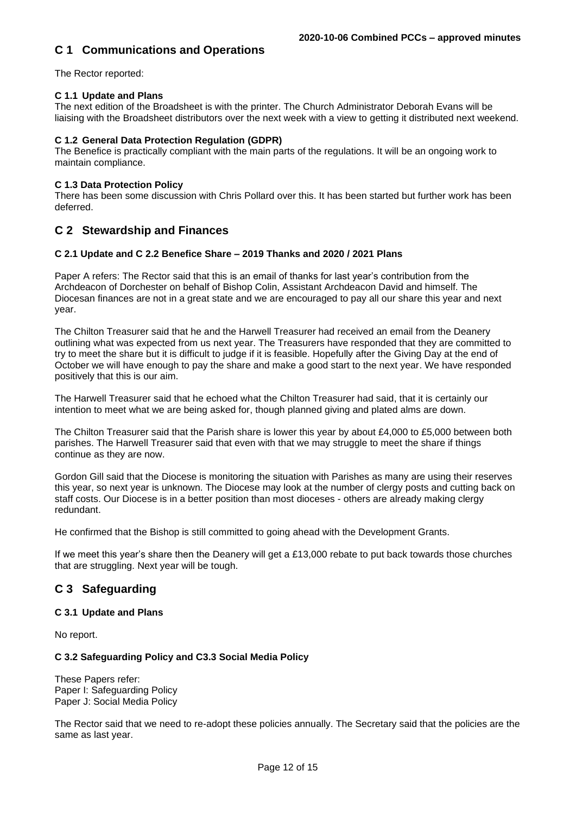# **C 1 Communications and Operations**

The Rector reported:

# **C 1.1 Update and Plans**

The next edition of the Broadsheet is with the printer. The Church Administrator Deborah Evans will be liaising with the Broadsheet distributors over the next week with a view to getting it distributed next weekend.

### **C 1.2 General Data Protection Regulation (GDPR)**

The Benefice is practically compliant with the main parts of the regulations. It will be an ongoing work to maintain compliance.

#### **C 1.3 Data Protection Policy**

There has been some discussion with Chris Pollard over this. It has been started but further work has been deferred.

# **C 2 Stewardship and Finances**

### **C 2.1 Update and C 2.2 Benefice Share – 2019 Thanks and 2020 / 2021 Plans**

Paper A refers: The Rector said that this is an email of thanks for last year's contribution from the Archdeacon of Dorchester on behalf of Bishop Colin, Assistant Archdeacon David and himself. The Diocesan finances are not in a great state and we are encouraged to pay all our share this year and next year.

The Chilton Treasurer said that he and the Harwell Treasurer had received an email from the Deanery outlining what was expected from us next year. The Treasurers have responded that they are committed to try to meet the share but it is difficult to judge if it is feasible. Hopefully after the Giving Day at the end of October we will have enough to pay the share and make a good start to the next year. We have responded positively that this is our aim.

The Harwell Treasurer said that he echoed what the Chilton Treasurer had said, that it is certainly our intention to meet what we are being asked for, though planned giving and plated alms are down.

The Chilton Treasurer said that the Parish share is lower this year by about £4,000 to £5,000 between both parishes. The Harwell Treasurer said that even with that we may struggle to meet the share if things continue as they are now.

Gordon Gill said that the Diocese is monitoring the situation with Parishes as many are using their reserves this year, so next year is unknown. The Diocese may look at the number of clergy posts and cutting back on staff costs. Our Diocese is in a better position than most dioceses - others are already making clergy redundant.

He confirmed that the Bishop is still committed to going ahead with the Development Grants.

If we meet this year's share then the Deanery will get a £13,000 rebate to put back towards those churches that are struggling. Next year will be tough.

# **C 3 Safeguarding**

# **C 3.1 Update and Plans**

No report.

# **C 3.2 Safeguarding Policy and C3.3 Social Media Policy**

These Papers refer: Paper I: Safeguarding Policy Paper J: Social Media Policy

The Rector said that we need to re-adopt these policies annually. The Secretary said that the policies are the same as last year.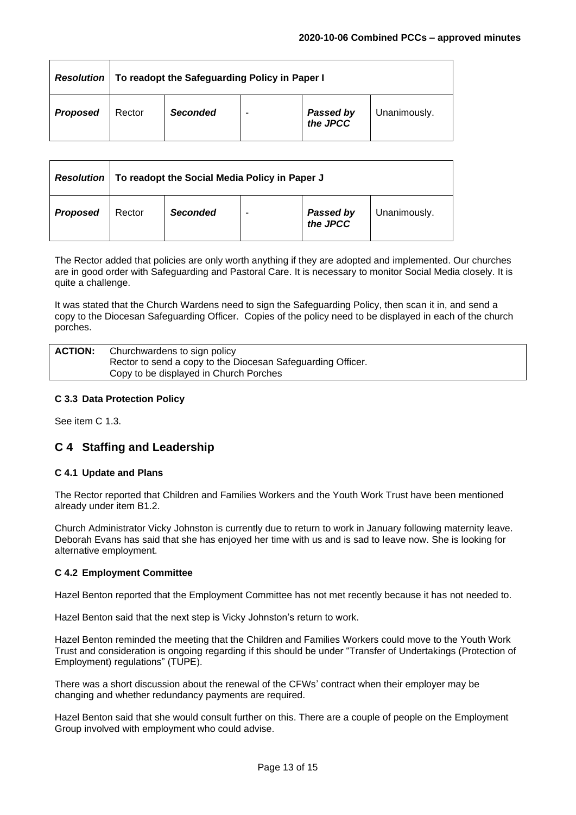| <b>Resolution</b> | To readopt the Safeguarding Policy in Paper I |                 |   |                               |              |
|-------------------|-----------------------------------------------|-----------------|---|-------------------------------|--------------|
| <b>Proposed</b>   | Rector                                        | <b>Seconded</b> | ٠ | <b>Passed by<br/>the JPCC</b> | Unanimously. |

| <b>Resolution</b> | To readopt the Social Media Policy in Paper J |                 |   |                               |              |
|-------------------|-----------------------------------------------|-----------------|---|-------------------------------|--------------|
| <b>Proposed</b>   | Rector                                        | <b>Seconded</b> | ۰ | <b>Passed by<br/>the JPCC</b> | Unanimously. |

The Rector added that policies are only worth anything if they are adopted and implemented. Our churches are in good order with Safeguarding and Pastoral Care. It is necessary to monitor Social Media closely. It is quite a challenge.

It was stated that the Church Wardens need to sign the Safeguarding Policy, then scan it in, and send a copy to the Diocesan Safeguarding Officer. Copies of the policy need to be displayed in each of the church porches.

| <b>ACTION:</b> | Churchwardens to sign policy                                |
|----------------|-------------------------------------------------------------|
|                | Rector to send a copy to the Diocesan Safeguarding Officer. |
|                | Copy to be displayed in Church Porches                      |
|                |                                                             |

# **C 3.3 Data Protection Policy**

See item C 1.3.

# **C 4 Staffing and Leadership**

# **C 4.1 Update and Plans**

The Rector reported that Children and Families Workers and the Youth Work Trust have been mentioned already under item B1.2.

Church Administrator Vicky Johnston is currently due to return to work in January following maternity leave. Deborah Evans has said that she has enjoyed her time with us and is sad to leave now. She is looking for alternative employment.

#### **C 4.2 Employment Committee**

Hazel Benton reported that the Employment Committee has not met recently because it has not needed to.

Hazel Benton said that the next step is Vicky Johnston's return to work.

Hazel Benton reminded the meeting that the Children and Families Workers could move to the Youth Work Trust and consideration is ongoing regarding if this should be under "Transfer of Undertakings (Protection of Employment) regulations" (TUPE).

There was a short discussion about the renewal of the CFWs' contract when their employer may be changing and whether redundancy payments are required.

Hazel Benton said that she would consult further on this. There are a couple of people on the Employment Group involved with employment who could advise.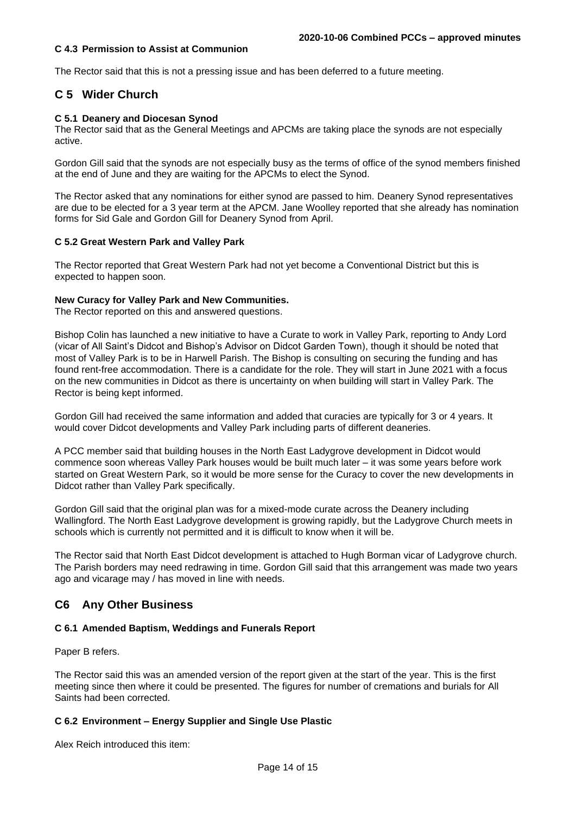### **C 4.3 Permission to Assist at Communion**

The Rector said that this is not a pressing issue and has been deferred to a future meeting.

# **C 5 Wider Church**

#### **C 5.1 Deanery and Diocesan Synod**

The Rector said that as the General Meetings and APCMs are taking place the synods are not especially active.

Gordon Gill said that the synods are not especially busy as the terms of office of the synod members finished at the end of June and they are waiting for the APCMs to elect the Synod.

The Rector asked that any nominations for either synod are passed to him. Deanery Synod representatives are due to be elected for a 3 year term at the APCM. Jane Woolley reported that she already has nomination forms for Sid Gale and Gordon Gill for Deanery Synod from April.

#### **C 5.2 Great Western Park and Valley Park**

The Rector reported that Great Western Park had not yet become a Conventional District but this is expected to happen soon.

#### **New Curacy for Valley Park and New Communities.**

The Rector reported on this and answered questions.

Bishop Colin has launched a new initiative to have a Curate to work in Valley Park, reporting to Andy Lord (vicar of All Saint's Didcot and Bishop's Advisor on Didcot Garden Town), though it should be noted that most of Valley Park is to be in Harwell Parish. The Bishop is consulting on securing the funding and has found rent-free accommodation. There is a candidate for the role. They will start in June 2021 with a focus on the new communities in Didcot as there is uncertainty on when building will start in Valley Park. The Rector is being kept informed.

Gordon Gill had received the same information and added that curacies are typically for 3 or 4 years. It would cover Didcot developments and Valley Park including parts of different deaneries.

A PCC member said that building houses in the North East Ladygrove development in Didcot would commence soon whereas Valley Park houses would be built much later – it was some years before work started on Great Western Park, so it would be more sense for the Curacy to cover the new developments in Didcot rather than Valley Park specifically.

Gordon Gill said that the original plan was for a mixed-mode curate across the Deanery including Wallingford. The North East Ladygrove development is growing rapidly, but the Ladygrove Church meets in schools which is currently not permitted and it is difficult to know when it will be.

The Rector said that North East Didcot development is attached to Hugh Borman vicar of Ladygrove church. The Parish borders may need redrawing in time. Gordon Gill said that this arrangement was made two years ago and vicarage may / has moved in line with needs.

# **C6 Any Other Business**

#### **C 6.1 Amended Baptism, Weddings and Funerals Report**

Paper B refers.

The Rector said this was an amended version of the report given at the start of the year. This is the first meeting since then where it could be presented. The figures for number of cremations and burials for All Saints had been corrected.

# **C 6.2 Environment – Energy Supplier and Single Use Plastic**

Alex Reich introduced this item: